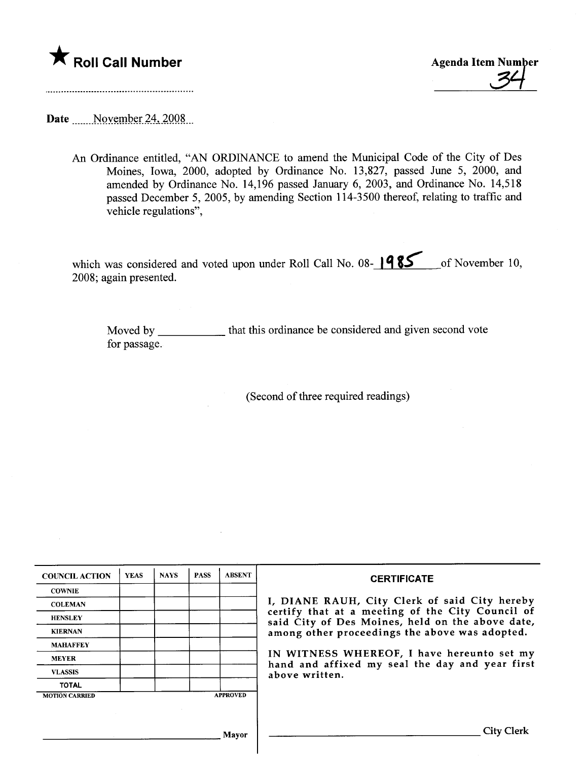## \* Roll Call Number Agenda Item Number

Date  $\frac{\text{November 24, 2008}}{\text{November 24}}$ 

An Ordinance entitled, "AN ORDINANCE to amend the Municipal Code of the City of Des Moines, Iowa, 2000, adopted by Ordinance No. 13,827, passed June 5, 2000, and amended by Ordinance No. 14,196 passed January 6, 2003, and Ordinance No. 14,518 passed December 5, 2005, by amending Section 114-3500 thereof, relating to traffic and vehicle regulations",

which was considered and voted upon under Roll Call No. 08-1985 <sub>cons</sub> of November 10, 2008; again presented.

Moved by \_\_\_\_\_\_\_\_\_\_\_\_\_ that this ordinance be considered and given second vote for passage.

(Second of three required readings)

| <b>COUNCIL ACTION</b> | <b>YEAS</b> | <b>NAYS</b> | <b>PASS</b> | <b>ABSENT</b>   | <b>CERTIFICATE</b>                                                                                                                                                                                                                                                                                                         |
|-----------------------|-------------|-------------|-------------|-----------------|----------------------------------------------------------------------------------------------------------------------------------------------------------------------------------------------------------------------------------------------------------------------------------------------------------------------------|
| <b>COWNIE</b>         |             |             |             |                 | I, DIANE RAUH, City Clerk of said City hereby<br>certify that at a meeting of the City Council of<br>said City of Des Moines, held on the above date,<br>among other proceedings the above was adopted.<br>IN WITNESS WHEREOF, I have hereunto set my<br>hand and affixed my seal the day and year first<br>above written. |
| <b>COLEMAN</b>        |             |             |             |                 |                                                                                                                                                                                                                                                                                                                            |
| <b>HENSLEY</b>        |             |             |             |                 |                                                                                                                                                                                                                                                                                                                            |
| <b>KIERNAN</b>        |             |             |             |                 |                                                                                                                                                                                                                                                                                                                            |
| <b>MAHAFFEY</b>       |             |             |             |                 |                                                                                                                                                                                                                                                                                                                            |
| <b>MEYER</b>          |             |             |             |                 |                                                                                                                                                                                                                                                                                                                            |
| <b>VLASSIS</b>        |             |             |             |                 |                                                                                                                                                                                                                                                                                                                            |
| <b>TOTAL</b>          |             |             |             |                 |                                                                                                                                                                                                                                                                                                                            |
| <b>MOTION CARRIED</b> |             |             |             | <b>APPROVED</b> |                                                                                                                                                                                                                                                                                                                            |
|                       |             |             |             |                 |                                                                                                                                                                                                                                                                                                                            |
|                       |             | Mavor       |             |                 | <b>City Clerk</b>                                                                                                                                                                                                                                                                                                          |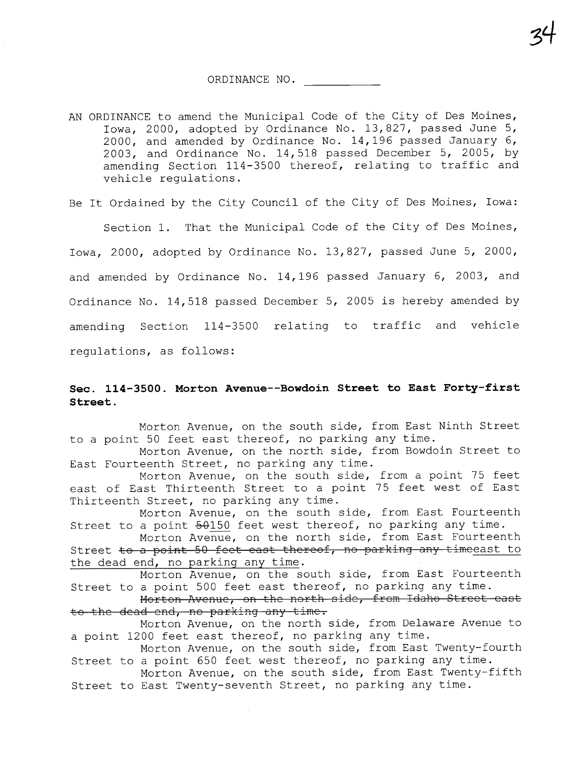34

AN ORDINANCE to amend the Municipal Code of the City of Des Moines, Iowa, 2000, adopted by Ordinance No. 13,827, passed June 5, 2000, and amended by Ordinance No. 14,196 passed January 6, 2003, and Ordinance No. 14,518 passed December 5, 2005, by amending Section 114-3500 thereof, relating to traffic and vehicle regulations.

Be It Ordained by the City Council of the City of Des Moines, Iowa:

Section 1. That the Municipal Code of the City of Des Moines, Iowa, 2000, adopted by Ordinance No. 13,827, passed June 5, 2000, and amended by Ordinance No. 14,196 passed January 6, 2003, and Ordinance No. 14,518 passed December 5, 2005 is hereby amended by amending Section 114-3500 relating to traffic and vehicle regulations, as follows:

## Sec. 114-3500. Morton Avenue--Bowdoin Street to East Forty-first Street.

Morton Avenue, on the south side, from East Ninth Street to a point 50 feet east thereof, no parking any time.

Morton Avenue, on the north side, from Bowdoin Street to East Fourteenth Street, no parking any time.

Morton Avenue, on the south side, from a point 75 feet east of East Thirteenth Street to a point 75 feet west of East Thirteenth Street, no parking any time.

Morton Avenue, on the south side, from East Fourteenth Street to a point  $50150$  feet west thereof, no parking any time.

Morton Avenue, on the north side, from East Fourteenth Street to a point 50 feet east thereof, no parking any timeeast to the dead end, no parking any time.

Morton Avenue, on the south side, from East Fourteenth Street to a point 500 feet east thereof, no parking any time.

Morton Avenue, on the north side, from Idaho Street east to the dead end, no parking any time.

Morton Avenue, on the north side, from Delaware Avenue to a point 1200 feet east thereof, no parking any time.

Morton Avenue, on the south side, from East Twenty-fourth Street to a point 650 feet west thereof, no parking any time.

Morton Avenue, on the south side, from East Twenty-fifth Street to East Twenty-seventh Street, no parking any time.